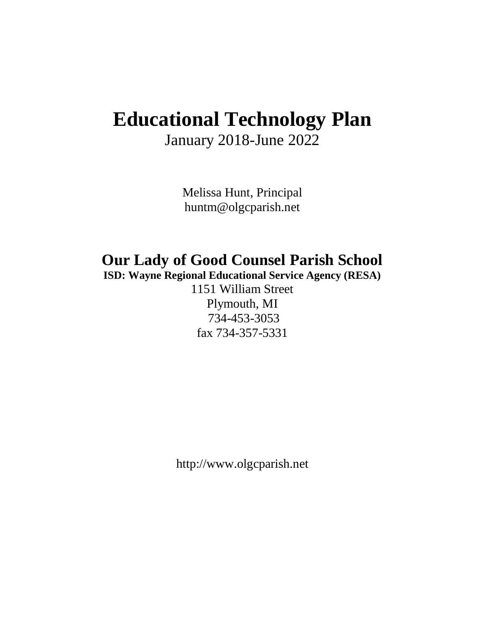## **Educational Technology Plan**

January 2018-June 2022

Melissa Hunt, Principal huntm@olgcparish.net

## **Our Lady of Good Counsel Parish School**

**ISD: Wayne Regional Educational Service Agency (RESA)**

1151 William Street Plymouth, MI 734-453-3053 fax 734-357-5331

http://www.olgcparish.net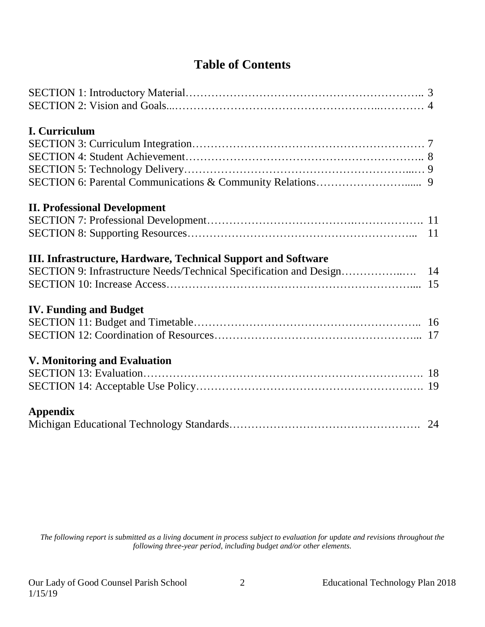## **Table of Contents**

| <b>I. Curriculum</b>                                          |  |
|---------------------------------------------------------------|--|
|                                                               |  |
|                                                               |  |
|                                                               |  |
|                                                               |  |
| <b>II. Professional Development</b>                           |  |
|                                                               |  |
|                                                               |  |
| III. Infrastructure, Hardware, Technical Support and Software |  |
|                                                               |  |
|                                                               |  |
| <b>IV. Funding and Budget</b>                                 |  |
|                                                               |  |
|                                                               |  |
| <b>V. Monitoring and Evaluation</b>                           |  |
|                                                               |  |
|                                                               |  |
| <b>Appendix</b>                                               |  |
|                                                               |  |

*The following report is submitted as a living document in process subject to evaluation for update and revisions throughout the following three-year period, including budget and/or other elements.*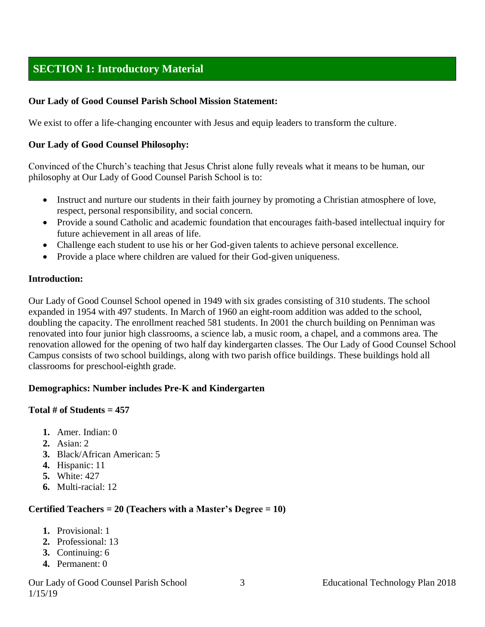## **SECTION 1: Introductory Material**

#### **Our Lady of Good Counsel Parish School Mission Statement:**

We exist to offer a life-changing encounter with Jesus and equip leaders to transform the culture.

#### **Our Lady of Good Counsel Philosophy:**

Convinced of the Church's teaching that Jesus Christ alone fully reveals what it means to be human, our philosophy at Our Lady of Good Counsel Parish School is to:

- Instruct and nurture our students in their faith journey by promoting a Christian atmosphere of love, respect, personal responsibility, and social concern.
- Provide a sound Catholic and academic foundation that encourages faith-based intellectual inquiry for future achievement in all areas of life.
- Challenge each student to use his or her God-given talents to achieve personal excellence.
- Provide a place where children are valued for their God-given uniqueness.

#### **Introduction:**

Our Lady of Good Counsel School opened in 1949 with six grades consisting of 310 students. The school expanded in 1954 with 497 students. In March of 1960 an eight-room addition was added to the school, doubling the capacity. The enrollment reached 581 students. In 2001 the church building on Penniman was renovated into four junior high classrooms, a science lab, a music room, a chapel, and a commons area. The renovation allowed for the opening of two half day kindergarten classes. The Our Lady of Good Counsel School Campus consists of two school buildings, along with two parish office buildings. These buildings hold all classrooms for preschool-eighth grade.

#### **Demographics: Number includes Pre-K and Kindergarten**

#### **Total # of Students = 457**

- **1.** Amer. Indian: 0
- **2.** Asian: 2
- **3.** Black/African American: 5
- **4.** Hispanic: 11
- **5.** White: 427
- **6.** Multi-racial: 12

#### **Certified Teachers = 20 (Teachers with a Master's Degree = 10)**

- **1.** Provisional: 1
- **2.** Professional: 13
- **3.** Continuing: 6
- **4.** Permanent: 0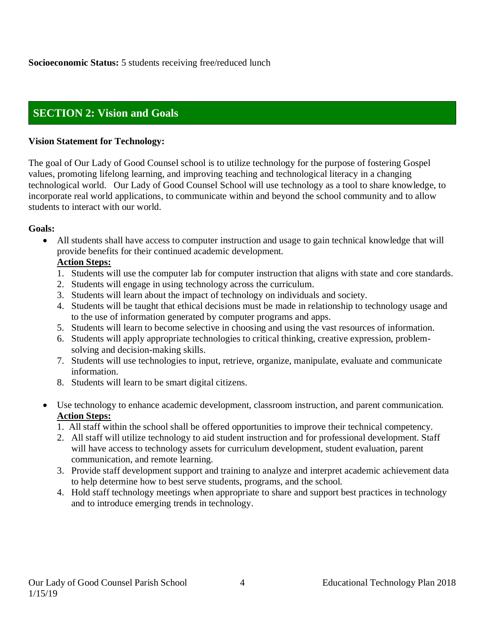## **SECTION 2: Vision and Goals**

#### **Vision Statement for Technology:**

The goal of Our Lady of Good Counsel school is to utilize technology for the purpose of fostering Gospel values, promoting lifelong learning, and improving teaching and technological literacy in a changing technological world. Our Lady of Good Counsel School will use technology as a tool to share knowledge, to incorporate real world applications, to communicate within and beyond the school community and to allow students to interact with our world.

#### **Goals:**

• All students shall have access to computer instruction and usage to gain technical knowledge that will provide benefits for their continued academic development.

#### **Action Steps:**

- 1. Students will use the computer lab for computer instruction that aligns with state and core standards.
- 2. Students will engage in using technology across the curriculum.
- 3. Students will learn about the impact of technology on individuals and society.
- 4. Students will be taught that ethical decisions must be made in relationship to technology usage and to the use of information generated by computer programs and apps.
- 5. Students will learn to become selective in choosing and using the vast resources of information.
- 6. Students will apply appropriate technologies to critical thinking, creative expression, problemsolving and decision-making skills.
- 7. Students will use technologies to input, retrieve, organize, manipulate, evaluate and communicate information.
- 8. Students will learn to be smart digital citizens.
- Use technology to enhance academic development, classroom instruction, and parent communication. **Action Steps:**
	- 1. All staff within the school shall be offered opportunities to improve their technical competency.
	- 2. All staff will utilize technology to aid student instruction and for professional development. Staff will have access to technology assets for curriculum development, student evaluation, parent communication, and remote learning.
	- 3. Provide staff development support and training to analyze and interpret academic achievement data to help determine how to best serve students, programs, and the school.
	- 4. Hold staff technology meetings when appropriate to share and support best practices in technology and to introduce emerging trends in technology.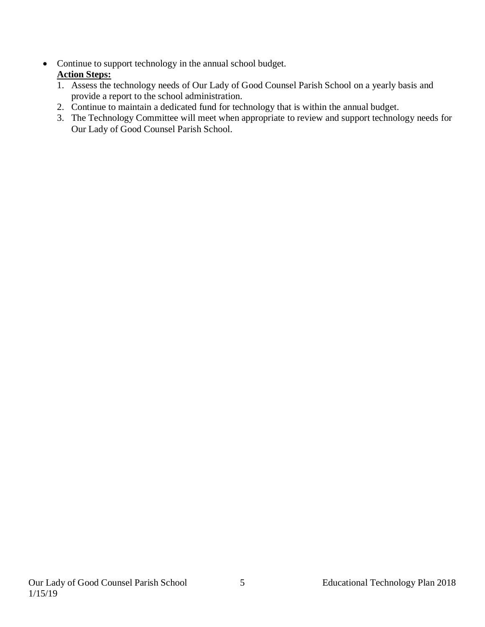- Continue to support technology in the annual school budget. **Action Steps:**
	- 1. Assess the technology needs of Our Lady of Good Counsel Parish School on a yearly basis and provide a report to the school administration.
	- 2. Continue to maintain a dedicated fund for technology that is within the annual budget.
	- 3. The Technology Committee will meet when appropriate to review and support technology needs for Our Lady of Good Counsel Parish School.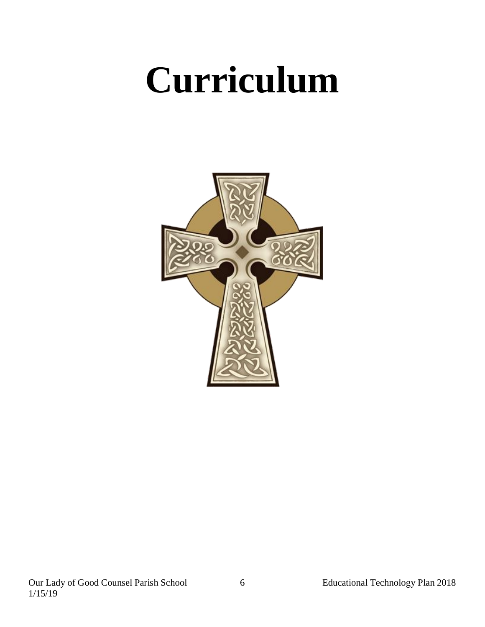## **Curriculum**

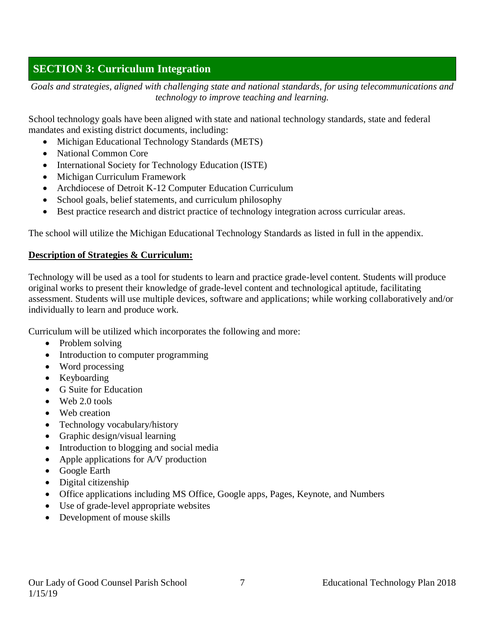## **SECTION 3: Curriculum Integration**

*Goals and strategies, aligned with challenging state and national standards, for using telecommunications and technology to improve teaching and learning.*

School technology goals have been aligned with state and national technology standards, state and federal mandates and existing district documents, including:

- Michigan Educational Technology Standards (METS)
- National Common Core
- International Society for Technology Education (ISTE)
- Michigan Curriculum Framework
- Archdiocese of Detroit K-12 Computer Education Curriculum
- School goals, belief statements, and curriculum philosophy
- Best practice research and district practice of technology integration across curricular areas.

The school will utilize the Michigan Educational Technology Standards as listed in full in the appendix.

#### **Description of Strategies & Curriculum:**

Technology will be used as a tool for students to learn and practice grade-level content. Students will produce original works to present their knowledge of grade-level content and technological aptitude, facilitating assessment. Students will use multiple devices, software and applications; while working collaboratively and/or individually to learn and produce work.

Curriculum will be utilized which incorporates the following and more:

- Problem solving
- Introduction to computer programming
- Word processing
- Keyboarding
- G Suite for Education
- Web 2.0 tools
- Web creation
- Technology vocabulary/history
- Graphic design/visual learning
- Introduction to blogging and social media
- Apple applications for A/V production
- Google Earth
- Digital citizenship
- Office applications including MS Office, Google apps, Pages, Keynote, and Numbers
- Use of grade-level appropriate websites
- Development of mouse skills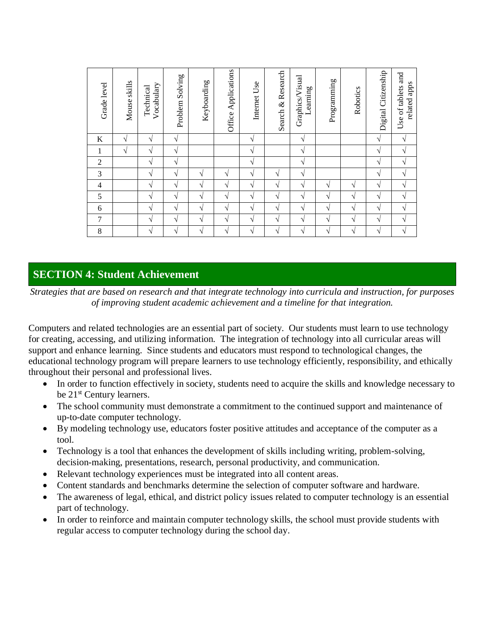| Grade level    | Mouse skills  | Vocabulary<br>Technical | Problem Solving | Keyboarding   | Office Applications | Internet Use | Search & Research | Graphics/Visual<br>earning | Programming | Robotics | Citizenship<br>Digital | and<br>related apps<br>Use of tablets |
|----------------|---------------|-------------------------|-----------------|---------------|---------------------|--------------|-------------------|----------------------------|-------------|----------|------------------------|---------------------------------------|
| K              | $\mathcal{N}$ | V                       | V               |               |                     | $\sqrt{}$    |                   | $\sqrt{ }$                 |             |          | V                      | V                                     |
| 1              | $\mathcal{N}$ | V                       | $\sqrt{}$       |               |                     | $\sqrt{}$    |                   | $\sqrt{ }$                 |             |          | V                      | V                                     |
| $\overline{2}$ |               | V                       | V               |               |                     | N            |                   | $\sqrt{ }$                 |             |          | V                      | N                                     |
| 3              |               | V                       | $\sqrt{ }$      | N             | N                   | $\sqrt{ }$   | N                 | N                          |             |          | V                      | $\mathcal{N}$                         |
| 4              |               | V                       | $\sqrt{}$       | $\mathcal{L}$ | N                   | N            | V                 | $\mathcal{N}$              | N           | V        | V                      | N                                     |
| 5              |               | $\sqrt{ }$              | V               | V             | $\sqrt{ }$          | $\sqrt{}$    | $\sqrt{ }$        | $\sqrt{ }$                 | $\sqrt{}$   | V        | V                      | V                                     |
| 6              |               | V                       | V               | N             | V                   | $\sqrt{}$    | V                 | N                          | $\sqrt{}$   | V        | V                      | N                                     |
| $\overline{7}$ |               | $\sqrt{ }$              | $\sqrt{}$       | V             | V                   | $\sqrt{}$    | V                 | V                          | $\sqrt{}$   | V        | V                      | $\mathcal{N}$                         |
| 8              |               | $\sqrt{ }$              | V               | V             | $\sqrt{ }$          | $\sqrt{}$    | $\sqrt{ }$        | $\sqrt{ }$                 | $\sqrt{}$   | V        | $\sqrt{}$              | $\sqrt{}$                             |

## **SECTION 4: Student Achievement**

*Strategies that are based on research and that integrate technology into curricula and instruction, for purposes of improving student academic achievement and a timeline for that integration.*

Computers and related technologies are an essential part of society. Our students must learn to use technology for creating, accessing, and utilizing information. The integration of technology into all curricular areas will support and enhance learning. Since students and educators must respond to technological changes, the educational technology program will prepare learners to use technology efficiently, responsibility, and ethically throughout their personal and professional lives.

- In order to function effectively in society, students need to acquire the skills and knowledge necessary to be 21<sup>st</sup> Century learners.
- The school community must demonstrate a commitment to the continued support and maintenance of up-to-date computer technology.
- By modeling technology use, educators foster positive attitudes and acceptance of the computer as a tool.
- Technology is a tool that enhances the development of skills including writing, problem-solving, decision-making, presentations, research, personal productivity, and communication.
- Relevant technology experiences must be integrated into all content areas.
- Content standards and benchmarks determine the selection of computer software and hardware.
- The awareness of legal, ethical, and district policy issues related to computer technology is an essential part of technology.
- In order to reinforce and maintain computer technology skills, the school must provide students with regular access to computer technology during the school day.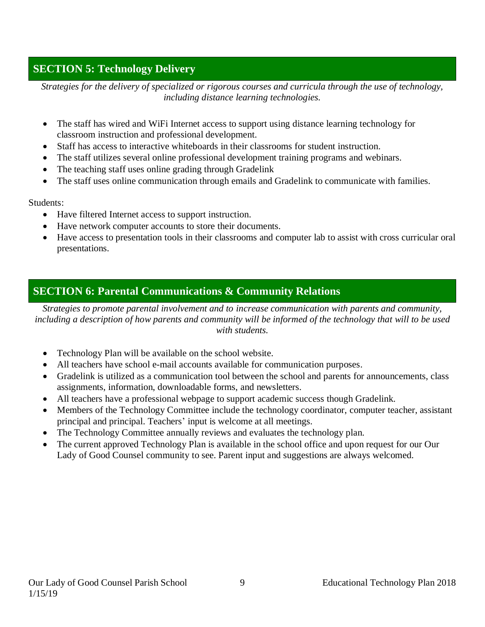## **SECTION 5: Technology Delivery**

*Strategies for the delivery of specialized or rigorous courses and curricula through the use of technology, including distance learning technologies.*

- The staff has wired and WiFi Internet access to support using distance learning technology for classroom instruction and professional development.
- Staff has access to interactive whiteboards in their classrooms for student instruction.
- The staff utilizes several online professional development training programs and webinars.
- The teaching staff uses online grading through Gradelink
- The staff uses online communication through emails and Gradelink to communicate with families.

Students:

- Have filtered Internet access to support instruction.
- Have network computer accounts to store their documents.
- Have access to presentation tools in their classrooms and computer lab to assist with cross curricular oral presentations.

## **SECTION 6: Parental Communications & Community Relations**

*Strategies to promote parental involvement and to increase communication with parents and community, including a description of how parents and community will be informed of the technology that will to be used with students.*

- Technology Plan will be available on the school website.
- All teachers have school e-mail accounts available for communication purposes.
- Gradelink is utilized as a communication tool between the school and parents for announcements, class assignments, information, downloadable forms, and newsletters.
- All teachers have a professional webpage to support academic success though Gradelink.
- Members of the Technology Committee include the technology coordinator, computer teacher, assistant principal and principal. Teachers' input is welcome at all meetings.
- The Technology Committee annually reviews and evaluates the technology plan.
- The current approved Technology Plan is available in the school office and upon request for our Our Lady of Good Counsel community to see. Parent input and suggestions are always welcomed.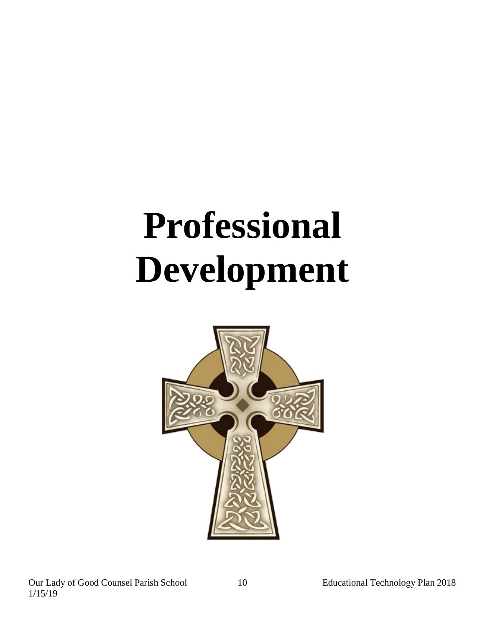## **Professional Development**

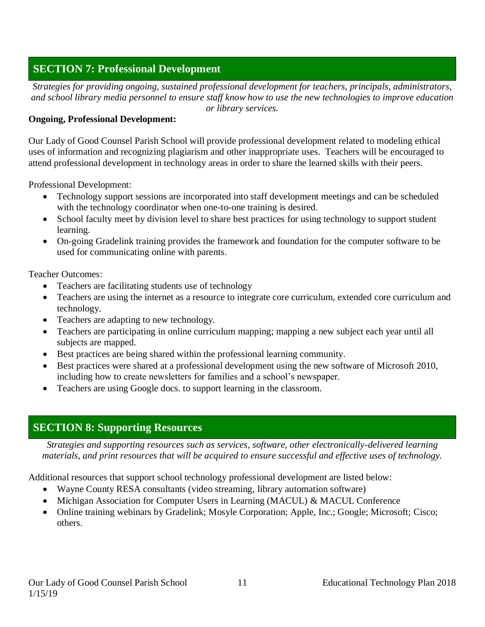## **SECTION 7: Professional Development**

*Strategies for providing ongoing, sustained professional development for teachers, principals, administrators, and school library media personnel to ensure staff know how to use the new technologies to improve education or library services.*

#### **Ongoing, Professional Development:**

Our Lady of Good Counsel Parish School will provide professional development related to modeling ethical uses of information and recognizing plagiarism and other inappropriate uses. Teachers will be encouraged to attend professional development in technology areas in order to share the learned skills with their peers.

Professional Development:

- Technology support sessions are incorporated into staff development meetings and can be scheduled with the technology coordinator when one-to-one training is desired.
- School faculty meet by division level to share best practices for using technology to support student learning.
- On-going Gradelink training provides the framework and foundation for the computer software to be used for communicating online with parents.

Teacher Outcomes:

- Teachers are facilitating students use of technology
- Teachers are using the internet as a resource to integrate core curriculum, extended core curriculum and technology.
- Teachers are adapting to new technology.
- Teachers are participating in online curriculum mapping; mapping a new subject each year until all subjects are mapped.
- Best practices are being shared within the professional learning community.
- Best practices were shared at a professional development using the new software of Microsoft 2010, including how to create newsletters for families and a school's newspaper.
- Teachers are using Google docs. to support learning in the classroom.

## **SECTION 8: Supporting Resources**

*Strategies and supporting resources such as services, software, other electronically-delivered learning materials, and print resources that will be acquired to ensure successful and effective uses of technology.*

Additional resources that support school technology professional development are listed below:

- Wayne County RESA consultants (video streaming, library automation software)
- Michigan Association for Computer Users in Learning (MACUL) & MACUL Conference
- Online training webinars by Gradelink; Mosyle Corporation; Apple, Inc.; Google; Microsoft; Cisco; others.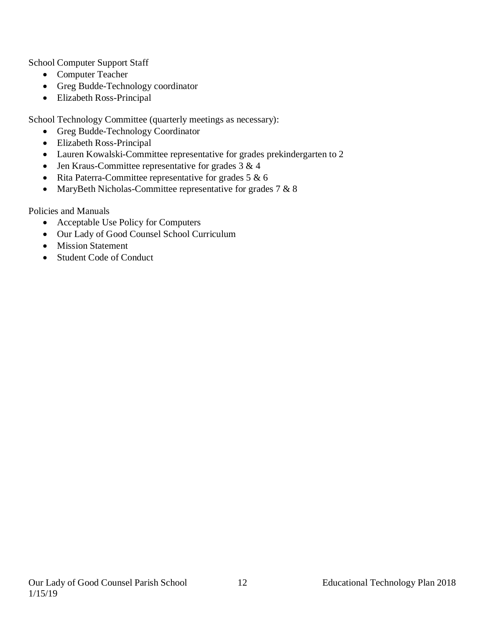School Computer Support Staff

- Computer Teacher
- Greg Budde-Technology coordinator
- Elizabeth Ross-Principal

School Technology Committee (quarterly meetings as necessary):

- Greg Budde-Technology Coordinator
- Elizabeth Ross-Principal
- Lauren Kowalski-Committee representative for grades prekindergarten to 2
- Jen Kraus-Committee representative for grades 3 & 4
- Rita Paterra-Committee representative for grades  $5 & 6$
- MaryBeth Nicholas-Committee representative for grades 7 & 8

Policies and Manuals

- Acceptable Use Policy for Computers
- Our Lady of Good Counsel School Curriculum
- Mission Statement
- Student Code of Conduct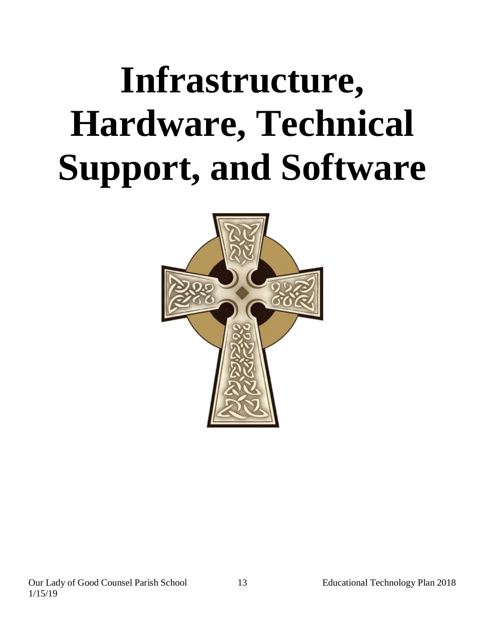## **Infrastructure, Hardware, Technical Support, and Software**

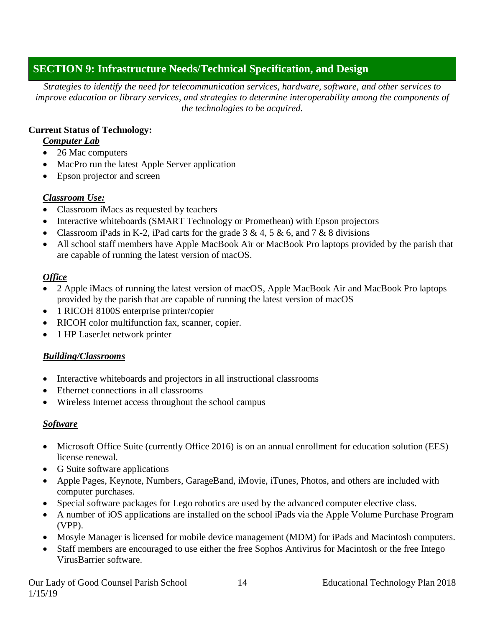## **SECTION 9: Infrastructure Needs/Technical Specification, and Design**

*Strategies to identify the need for telecommunication services, hardware, software, and other services to improve education or library services, and strategies to determine interoperability among the components of the technologies to be acquired.*

### **Current Status of Technology:**

### *Computer Lab*

- 26 Mac computers
- MacPro run the latest Apple Server application
- Epson projector and screen

## *Classroom Use:*

- Classroom iMacs as requested by teachers
- Interactive whiteboards (SMART Technology or Promethean) with Epson projectors
- Classroom iPads in K-2, iPad carts for the grade  $3 \& 4, 5 \& 6$ , and  $7 \& 8$  divisions
- All school staff members have Apple MacBook Air or MacBook Pro laptops provided by the parish that are capable of running the latest version of macOS.

## *Office*

- 2 Apple iMacs of running the latest version of macOS, Apple MacBook Air and MacBook Pro laptops provided by the parish that are capable of running the latest version of macOS
- 1 RICOH 8100S enterprise printer/copier
- RICOH color multifunction fax, scanner, copier.
- 1 HP LaserJet network printer

## *Building/Classrooms*

- Interactive whiteboards and projectors in all instructional classrooms
- Ethernet connections in all classrooms
- Wireless Internet access throughout the school campus

## *Software*

- Microsoft Office Suite (currently Office 2016) is on an annual enrollment for education solution (EES) license renewal.
- G Suite software applications
- Apple Pages, Keynote, Numbers, GarageBand, iMovie, iTunes, Photos, and others are included with computer purchases.
- Special software packages for Lego robotics are used by the advanced computer elective class.
- A number of iOS applications are installed on the school iPads via the Apple Volume Purchase Program (VPP).
- Mosyle Manager is licensed for mobile device management (MDM) for iPads and Macintosh computers.
- Staff members are encouraged to use either the free Sophos Antivirus for Macintosh or the free Intego VirusBarrier software.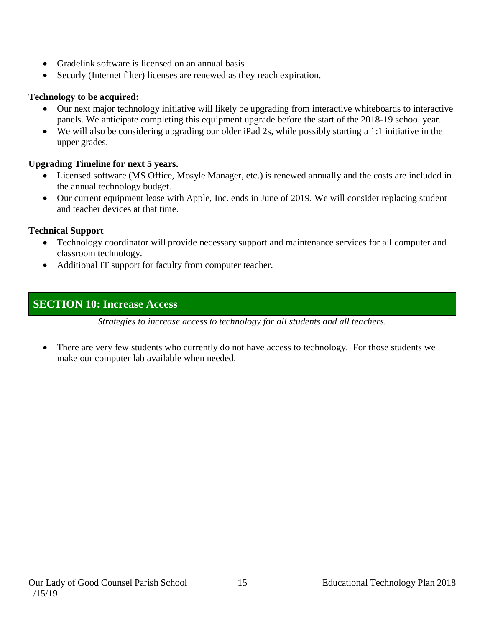- Gradelink software is licensed on an annual basis
- Securly (Internet filter) licenses are renewed as they reach expiration.

#### **Technology to be acquired:**

- Our next major technology initiative will likely be upgrading from interactive whiteboards to interactive panels. We anticipate completing this equipment upgrade before the start of the 2018-19 school year.
- We will also be considering upgrading our older iPad 2s, while possibly starting a 1:1 initiative in the upper grades.

#### **Upgrading Timeline for next 5 years.**

- Licensed software (MS Office, Mosyle Manager, etc.) is renewed annually and the costs are included in the annual technology budget.
- Our current equipment lease with Apple, Inc. ends in June of 2019. We will consider replacing student and teacher devices at that time.

#### **Technical Support**

- Technology coordinator will provide necessary support and maintenance services for all computer and classroom technology.
- Additional IT support for faculty from computer teacher.

## **SECTION 10: Increase Access**

*Strategies to increase access to technology for all students and all teachers.*

• There are very few students who currently do not have access to technology. For those students we make our computer lab available when needed.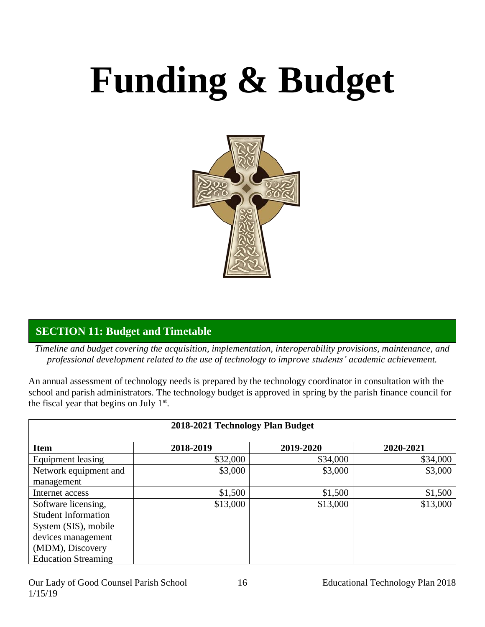# **Funding & Budget**



## **SECTION 11: Budget and Timetable**

*Timeline and budget covering the acquisition, implementation, interoperability provisions, maintenance, and professional development related to the use of technology to improve students' academic achievement.*

An annual assessment of technology needs is prepared by the technology coordinator in consultation with the school and parish administrators. The technology budget is approved in spring by the parish finance council for the fiscal year that begins on July  $1<sup>st</sup>$ .

|                            | 2018-2021 Technology Plan Budget |           |           |
|----------------------------|----------------------------------|-----------|-----------|
| <b>Item</b>                | 2018-2019                        | 2019-2020 | 2020-2021 |
| Equipment leasing          | \$32,000                         | \$34,000  | \$34,000  |
| Network equipment and      | \$3,000                          | \$3,000   | \$3,000   |
| management                 |                                  |           |           |
| Internet access            | \$1,500                          | \$1,500   | \$1,500   |
| Software licensing,        | \$13,000                         | \$13,000  | \$13,000  |
| <b>Student Information</b> |                                  |           |           |
| System (SIS), mobile       |                                  |           |           |
| devices management         |                                  |           |           |
| (MDM), Discovery           |                                  |           |           |
| <b>Education Streaming</b> |                                  |           |           |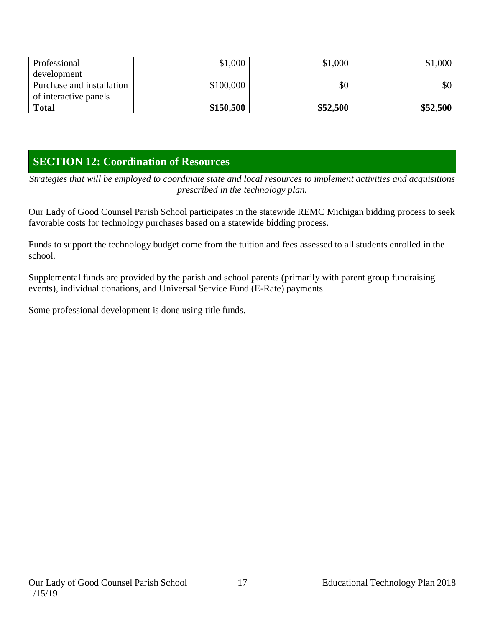| Professional              | \$1,000   | \$1,000  | \$1,000          |
|---------------------------|-----------|----------|------------------|
| development               |           |          |                  |
| Purchase and installation | \$100,000 | \$0      | \$0 <sub>1</sub> |
| of interactive panels     |           |          |                  |
| <b>Total</b>              | \$150,500 | \$52,500 | \$52,500         |

## **SECTION 12: Coordination of Resources**

*Strategies that will be employed to coordinate state and local resources to implement activities and acquisitions prescribed in the technology plan.*

Our Lady of Good Counsel Parish School participates in the statewide REMC Michigan bidding process to seek favorable costs for technology purchases based on a statewide bidding process.

Funds to support the technology budget come from the tuition and fees assessed to all students enrolled in the school.

Supplemental funds are provided by the parish and school parents (primarily with parent group fundraising events), individual donations, and Universal Service Fund (E-Rate) payments.

Some professional development is done using title funds.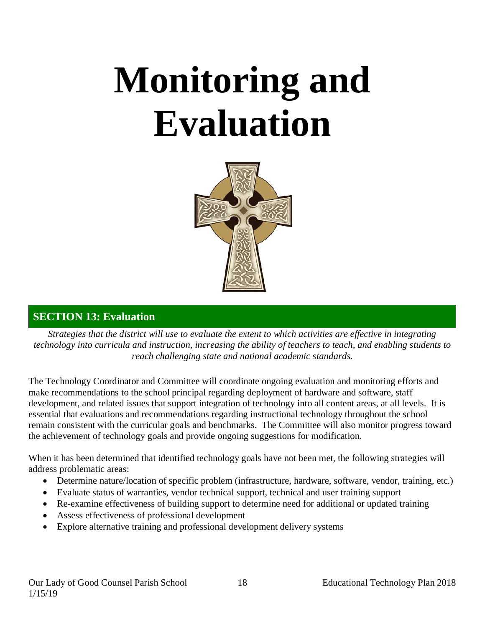## **Monitoring and Evaluation**



## **SECTION 13: Evaluation**

*Strategies that the district will use to evaluate the extent to which activities are effective in integrating technology into curricula and instruction, increasing the ability of teachers to teach, and enabling students to reach challenging state and national academic standards.*

The Technology Coordinator and Committee will coordinate ongoing evaluation and monitoring efforts and make recommendations to the school principal regarding deployment of hardware and software, staff development, and related issues that support integration of technology into all content areas, at all levels. It is essential that evaluations and recommendations regarding instructional technology throughout the school remain consistent with the curricular goals and benchmarks. The Committee will also monitor progress toward the achievement of technology goals and provide ongoing suggestions for modification.

When it has been determined that identified technology goals have not been met, the following strategies will address problematic areas:

- Determine nature/location of specific problem (infrastructure, hardware, software, vendor, training, etc.)
- Evaluate status of warranties, vendor technical support, technical and user training support
- Re-examine effectiveness of building support to determine need for additional or updated training
- Assess effectiveness of professional development
- Explore alternative training and professional development delivery systems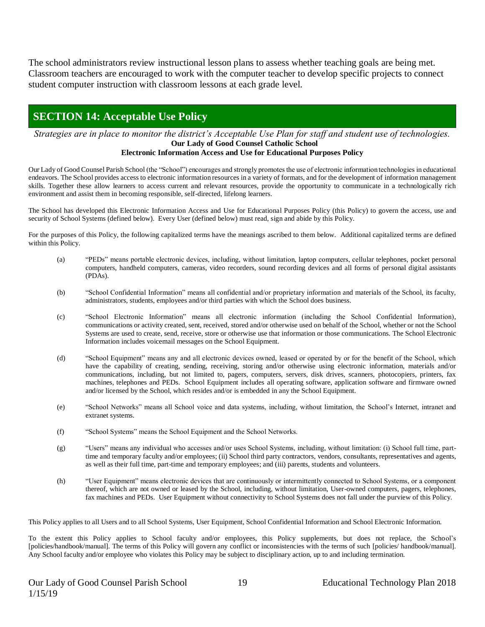The school administrators review instructional lesson plans to assess whether teaching goals are being met. Classroom teachers are encouraged to work with the computer teacher to develop specific projects to connect student computer instruction with classroom lessons at each grade level.

## **SECTION 14: Acceptable Use Policy**

*Strategies are in place to monitor the district's Acceptable Use Plan for staff and student use of technologies.* **Our Lady of Good Counsel Catholic School**

#### **Electronic Information Access and Use for Educational Purposes Policy**

Our Lady of Good Counsel Parish School (the "School") encourages and strongly promotes the use of electronic information technologies in educational endeavors. The School provides access to electronic information resources in a variety of formats, and for the development of information management skills. Together these allow learners to access current and relevant resources, provide the opportunity to communicate in a technologically rich environment and assist them in becoming responsible, self-directed, lifelong learners.

The School has developed this Electronic Information Access and Use for Educational Purposes Policy (this Policy) to govern the access, use and security of School Systems (defined below). Every User (defined below) must read, sign and abide by this Policy.

For the purposes of this Policy, the following capitalized terms have the meanings ascribed to them below. Additional capitalized terms are defined within this Policy.

- (a) "PEDs" means portable electronic devices, including, without limitation, laptop computers, cellular telephones, pocket personal computers, handheld computers, cameras, video recorders, sound recording devices and all forms of personal digital assistants (PDAs).
- (b) "School Confidential Information" means all confidential and/or proprietary information and materials of the School, its faculty, administrators, students, employees and/or third parties with which the School does business.
- (c) "School Electronic Information" means all electronic information (including the School Confidential Information), communications or activity created, sent, received, stored and/or otherwise used on behalf of the School, whether or not the School Systems are used to create, send, receive, store or otherwise use that information or those communications. The School Electronic Information includes voicemail messages on the School Equipment.
- (d) "School Equipment" means any and all electronic devices owned, leased or operated by or for the benefit of the School, which have the capability of creating, sending, receiving, storing and/or otherwise using electronic information, materials and/or communications, including, but not limited to, pagers, computers, servers, disk drives, scanners, photocopiers, printers, fax machines, telephones and PEDs. School Equipment includes all operating software, application software and firmware owned and/or licensed by the School, which resides and/or is embedded in any the School Equipment.
- (e) "School Networks" means all School voice and data systems, including, without limitation, the School's Internet, intranet and extranet systems.
- (f) "School Systems" means the School Equipment and the School Networks.
- (g) "Users" means any individual who accesses and/or uses School Systems, including, without limitation: (i) School full time, parttime and temporary faculty and/or employees; (ii) School third party contractors, vendors, consultants, representatives and agents, as well as their full time, part-time and temporary employees; and (iii) parents, students and volunteers.
- (h) "User Equipment" means electronic devices that are continuously or intermittently connected to School Systems, or a component thereof, which are not owned or leased by the School, including, without limitation, User-owned computers, pagers, telephones, fax machines and PEDs. User Equipment without connectivity to School Systems does not fall under the purview of this Policy.

This Policy applies to all Users and to all School Systems, User Equipment, School Confidential Information and School Electronic Information.

To the extent this Policy applies to School faculty and/or employees, this Policy supplements, but does not replace, the School's [policies/handbook/manual]. The terms of this Policy will govern any conflict or inconsistencies with the terms of such [policies/handbook/manual]. Any School faculty and/or employee who violates this Policy may be subject to disciplinary action, up to and including termination.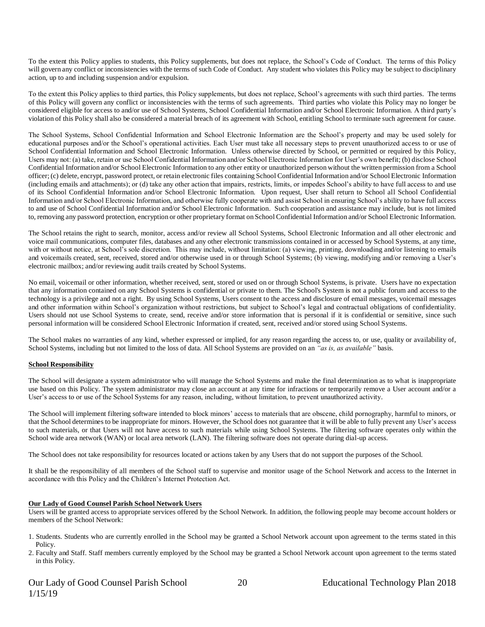To the extent this Policy applies to students, this Policy supplements, but does not replace, the School's Code of Conduct. The terms of this Policy will govern any conflict or inconsistencies with the terms of such Code of Conduct. Any student who violates this Policy may be subject to disciplinary action, up to and including suspension and/or expulsion.

To the extent this Policy applies to third parties, this Policy supplements, but does not replace, School's agreements with such third parties. The terms of this Policy will govern any conflict or inconsistencies with the terms of such agreements. Third parties who violate this Policy may no longer be considered eligible for access to and/or use of School Systems, School Confidential Information and/or School Electronic Information. A third party's violation of this Policy shall also be considered a material breach of its agreement with School, entitling School to terminate such agreement for cause.

The School Systems, School Confidential Information and School Electronic Information are the School's property and may be used solely for educational purposes and/or the School's operational activities. Each User must take all necessary steps to prevent unauthorized access to or use of School Confidential Information and School Electronic Information. Unless otherwise directed by School, or permitted or required by this Policy, Users may not: (a) take, retain or use School Confidential Information and/or School Electronic Information for User's own benefit; (b) disclose School Confidential Information and/or School Electronic Information to any other entity or unauthorized person without the written permission from a School officer; (c) delete, encrypt, password protect, or retain electronic files containing School Confidential Information and/or School Electronic Information (including emails and attachments); or (d) take any other action that impairs, restricts, limits, or impedes School's ability to have full access to and use of its School Confidential Information and/or School Electronic Information. Upon request, User shall return to School all School Confidential Information and/or School Electronic Information, and otherwise fully cooperate with and assist School in ensuring School's ability to have full access to and use of School Confidential Information and/or School Electronic Information. Such cooperation and assistance may include, but is not limited to, removing any password protection, encryption or other proprietary format on School Confidential Information and/or School Electronic Information.

The School retains the right to search, monitor, access and/or review all School Systems, School Electronic Information and all other electronic and voice mail communications, computer files, databases and any other electronic transmissions contained in or accessed by School Systems, at any time, with or without notice, at School's sole discretion. This may include, without limitation: (a) viewing, printing, downloading and/or listening to emails and voicemails created, sent, received, stored and/or otherwise used in or through School Systems; (b) viewing, modifying and/or removing a User's electronic mailbox; and/or reviewing audit trails created by School Systems.

No email, voicemail or other information, whether received, sent, stored or used on or through School Systems, is private. Users have no expectation that any information contained on any School Systems is confidential or private to them. The School's System is not a public forum and access to the technology is a privilege and not a right. By using School Systems, Users consent to the access and disclosure of email messages, voicemail messages and other information within School's organization without restrictions, but subject to School's legal and contractual obligations of confidentiality. Users should not use School Systems to create, send, receive and/or store information that is personal if it is confidential or sensitive, since such personal information will be considered School Electronic Information if created, sent, received and/or stored using School Systems.

The School makes no warranties of any kind, whether expressed or implied, for any reason regarding the access to, or use, quality or availability of, School Systems, including but not limited to the loss of data. All School Systems are provided on an *"as is, as available"* basis.

#### **School Responsibility**

The School will designate a system administrator who will manage the School Systems and make the final determination as to what is inappropriate use based on this Policy. The system administrator may close an account at any time for infractions or temporarily remove a User account and/or a User's access to or use of the School Systems for any reason, including, without limitation, to prevent unauthorized activity.

The School will implement filtering software intended to block minors' access to materials that are obscene, child pornography, harmful to minors, or that the School determines to be inappropriate for minors. However, the School does not guarantee that it will be able to fully prevent any User's access to such materials, or that Users will not have access to such materials while using School Systems. The filtering software operates only within the School wide area network (WAN) or local area network (LAN). The filtering software does not operate during dial-up access.

The School does not take responsibility for resources located or actions taken by any Users that do not support the purposes of the School.

It shall be the responsibility of all members of the School staff to supervise and monitor usage of the School Network and access to the Internet in accordance with this Policy and the Children's Internet Protection Act.

#### **Our Lady of Good Counsel Parish School Network Users**

Users will be granted access to appropriate services offered by the School Network. In addition, the following people may become account holders or members of the School Network:

- 1. Students. Students who are currently enrolled in the School may be granted a School Network account upon agreement to the terms stated in this Policy.
- 2. Faculty and Staff. Staff members currently employed by the School may be granted a School Network account upon agreement to the terms stated in this Policy.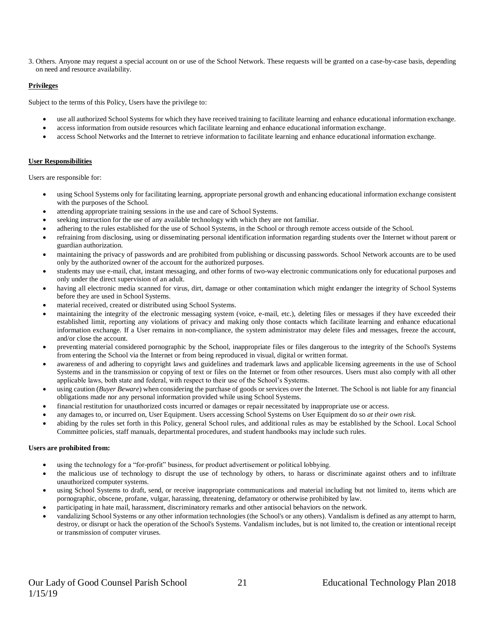3. Others. Anyone may request a special account on or use of the School Network. These requests will be granted on a case-by-case basis, depending on need and resource availability.

#### **Privileges**

Subject to the terms of this Policy, Users have the privilege to:

- use all authorized School Systems for which they have received training to facilitate learning and enhance educational information exchange.
- access information from outside resources which facilitate learning and enhance educational information exchange.
- access School Networks and the Internet to retrieve information to facilitate learning and enhance educational information exchange.

#### **User Responsibilities**

Users are responsible for:

- using School Systems only for facilitating learning, appropriate personal growth and enhancing educational information exchange consistent with the purposes of the School.
- attending appropriate training sessions in the use and care of School Systems.
- seeking instruction for the use of any available technology with which they are not familiar.
- adhering to the rules established for the use of School Systems, in the School or through remote access outside of the School.
- refraining from disclosing, using or disseminating personal identification information regarding students over the Internet without parent or guardian authorization.
- maintaining the privacy of passwords and are prohibited from publishing or discussing passwords. School Network accounts are to be used only by the authorized owner of the account for the authorized purposes.
- students may use e-mail, chat, instant messaging, and other forms of two-way electronic communications only for educational purposes and only under the direct supervision of an adult.
- having all electronic media scanned for virus, dirt, damage or other contamination which might endanger the integrity of School Systems before they are used in School Systems.
- material received, created or distributed using School Systems.
- maintaining the integrity of the electronic messaging system (voice, e-mail, etc.), deleting files or messages if they have exceeded their established limit, reporting any violations of privacy and making only those contacts which facilitate learning and enhance educational information exchange. If a User remains in non-compliance, the system administrator may delete files and messages, freeze the account, and/or close the account.
- preventing material considered pornographic by the School, inappropriate files or files dangerous to the integrity of the School's Systems from entering the School via the Internet or from being reproduced in visual, digital or written format.
- awareness of and adhering to copyright laws and guidelines and trademark laws and applicable licensing agreements in the use of School Systems and in the transmission or copying of text or files on the Internet or from other resources. Users must also comply with all other applicable laws, both state and federal, with respect to their use of the School's Systems.
- using caution (*Buyer Beware*) when considering the purchase of goods or services over the Internet. The School is not liable for any financial obligations made nor any personal information provided while using School Systems.
- financial restitution for unauthorized costs incurred or damages or repair necessitated by inappropriate use or access.
- any damages to, or incurred on, User Equipment. Users accessing School Systems on User Equipment do so *at their own risk.*
- abiding by the rules set forth in this Policy, general School rules, and additional rules as may be established by the School. Local School Committee policies, staff manuals, departmental procedures, and student handbooks may include such rules.

#### **Users are prohibited from:**

- using the technology for a "for-profit" business, for product advertisement or political lobbying.
- the malicious use of technology to disrupt the use of technology by others, to harass or discriminate against others and to infiltrate unauthorized computer systems.
- using School Systems to draft, send, or receive inappropriate communications and material including but not limited to, items which are pornographic, obscene, profane, vulgar, harassing, threatening, defamatory or otherwise prohibited by law.
- participating in hate mail, harassment, discriminatory remarks and other antisocial behaviors on the network.
- vandalizing School Systems or any other information technologies (the School's or any others). Vandalism is defined as any attempt to harm, destroy, or disrupt or hack the operation of the School's Systems. Vandalism includes, but is not limited to, the creation or intentional receipt or transmission of computer viruses.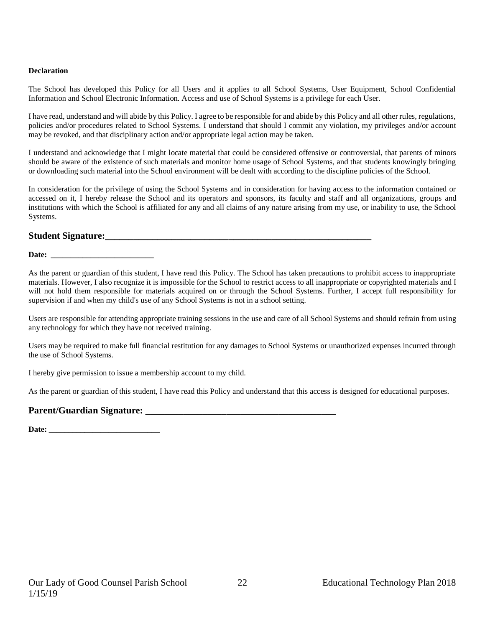#### **Declaration**

The School has developed this Policy for all Users and it applies to all School Systems, User Equipment, School Confidential Information and School Electronic Information. Access and use of School Systems is a privilege for each User.

I have read, understand and will abide by this Policy. I agree to be responsible for and abide by this Policy and all other rules, regulations, policies and/or procedures related to School Systems. I understand that should I commit any violation, my privileges and/or account may be revoked, and that disciplinary action and/or appropriate legal action may be taken.

I understand and acknowledge that I might locate material that could be considered offensive or controversial, that parents of minors should be aware of the existence of such materials and monitor home usage of School Systems, and that students knowingly bringing or downloading such material into the School environment will be dealt with according to the discipline policies of the School.

In consideration for the privilege of using the School Systems and in consideration for having access to the information contained or accessed on it, I hereby release the School and its operators and sponsors, its faculty and staff and all organizations, groups and institutions with which the School is affiliated for any and all claims of any nature arising from my use, or inability to use, the School Systems.

#### **Student Signature:**

Date:

As the parent or guardian of this student, I have read this Policy. The School has taken precautions to prohibit access to inappropriate materials. However, I also recognize it is impossible for the School to restrict access to all inappropriate or copyrighted materials and I will not hold them responsible for materials acquired on or through the School Systems. Further, I accept full responsibility for supervision if and when my child's use of any School Systems is not in a school setting.

Users are responsible for attending appropriate training sessions in the use and care of all School Systems and should refrain from using any technology for which they have not received training.

Users may be required to make full financial restitution for any damages to School Systems or unauthorized expenses incurred through the use of School Systems.

I hereby give permission to issue a membership account to my child.

As the parent or guardian of this student, I have read this Policy and understand that this access is designed for educational purposes.

#### Parent/Guardian Signature:

Date: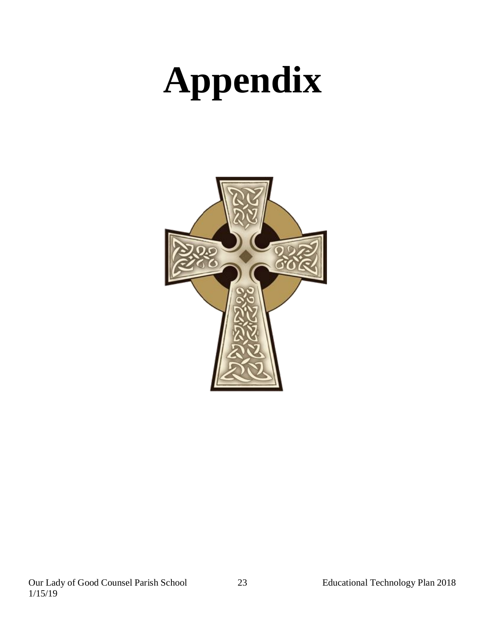# **Appendix**

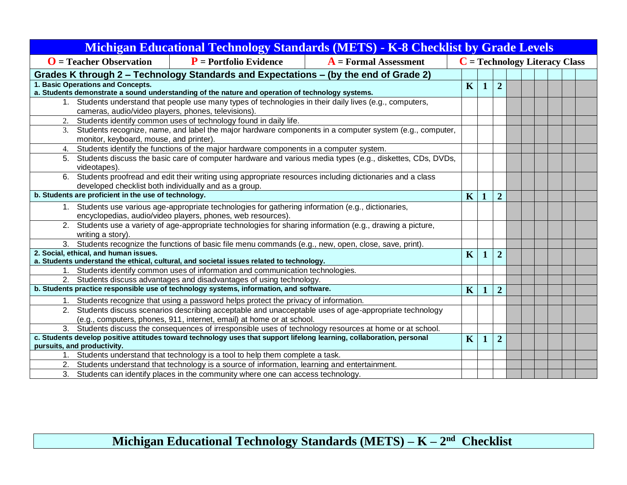| <b>Michigan Educational Technology Standards (METS) - K-8 Checklist by Grade Levels</b>                                                                                          |                         |             |                |  |  |  |                                 |  |  |
|----------------------------------------------------------------------------------------------------------------------------------------------------------------------------------|-------------------------|-------------|----------------|--|--|--|---------------------------------|--|--|
| $\mathbf{O}$ = Teacher Observation<br>$P$ = Portfolio Evidence<br>$A = Formal Assessment$                                                                                        |                         |             |                |  |  |  | $C = Technology$ Literacy Class |  |  |
| Grades K through 2 - Technology Standards and Expectations - (by the end of Grade 2)                                                                                             |                         |             |                |  |  |  |                                 |  |  |
| 1. Basic Operations and Concepts.                                                                                                                                                | $\overline{\mathbf{K}}$ | $\mathbf 1$ | $\overline{2}$ |  |  |  |                                 |  |  |
| a. Students demonstrate a sound understanding of the nature and operation of technology systems.                                                                                 |                         |             |                |  |  |  |                                 |  |  |
| 1. Students understand that people use many types of technologies in their daily lives (e.g., computers,<br>cameras, audio/video players, phones, televisions).                  |                         |             |                |  |  |  |                                 |  |  |
| Students identify common uses of technology found in daily life.<br>2.                                                                                                           |                         |             |                |  |  |  |                                 |  |  |
| 3. Students recognize, name, and label the major hardware components in a computer system (e.g., computer,<br>monitor, keyboard, mouse, and printer).                            |                         |             |                |  |  |  |                                 |  |  |
| Students identify the functions of the major hardware components in a computer system.<br>4.                                                                                     |                         |             |                |  |  |  |                                 |  |  |
| 5. Students discuss the basic care of computer hardware and various media types (e.g., diskettes, CDs, DVDs,<br>videotapes).                                                     |                         |             |                |  |  |  |                                 |  |  |
| 6. Students proofread and edit their writing using appropriate resources including dictionaries and a class                                                                      |                         |             |                |  |  |  |                                 |  |  |
| developed checklist both individually and as a group.                                                                                                                            |                         |             |                |  |  |  |                                 |  |  |
| b. Students are proficient in the use of technology.                                                                                                                             | $\overline{\mathbf{K}}$ |             | $\overline{2}$ |  |  |  |                                 |  |  |
| 1. Students use various age-appropriate technologies for gathering information (e.g., dictionaries,                                                                              |                         |             |                |  |  |  |                                 |  |  |
| encyclopedias, audio/video players, phones, web resources).                                                                                                                      |                         |             |                |  |  |  |                                 |  |  |
| 2. Students use a variety of age-appropriate technologies for sharing information (e.g., drawing a picture,<br>writing a story).                                                 |                         |             |                |  |  |  |                                 |  |  |
| 3. Students recognize the functions of basic file menu commands (e.g., new, open, close, save, print).                                                                           |                         |             |                |  |  |  |                                 |  |  |
| 2. Social, ethical, and human issues.                                                                                                                                            | K                       | 1           | $\overline{2}$ |  |  |  |                                 |  |  |
| a. Students understand the ethical, cultural, and societal issues related to technology.                                                                                         |                         |             |                |  |  |  |                                 |  |  |
| 1. Students identify common uses of information and communication technologies.                                                                                                  |                         |             |                |  |  |  |                                 |  |  |
| 2. Students discuss advantages and disadvantages of using technology.<br>b. Students practice responsible use of technology systems, information, and software.                  |                         |             |                |  |  |  |                                 |  |  |
|                                                                                                                                                                                  | K                       |             | $\overline{2}$ |  |  |  |                                 |  |  |
| 1. Students recognize that using a password helps protect the privacy of information.                                                                                            |                         |             |                |  |  |  |                                 |  |  |
| 2. Students discuss scenarios describing acceptable and unacceptable uses of age-appropriate technology<br>(e.g., computers, phones, 911, internet, email) at home or at school. |                         |             |                |  |  |  |                                 |  |  |
| 3. Students discuss the consequences of irresponsible uses of technology resources at home or at school.                                                                         |                         |             |                |  |  |  |                                 |  |  |
| c. Students develop positive attitudes toward technology uses that support lifelong learning, collaboration, personal                                                            | $\overline{\mathbf{K}}$ |             | $\overline{2}$ |  |  |  |                                 |  |  |
| pursuits, and productivity.                                                                                                                                                      |                         |             |                |  |  |  |                                 |  |  |
| 1. Students understand that technology is a tool to help them complete a task.                                                                                                   |                         |             |                |  |  |  |                                 |  |  |
| 2. Students understand that technology is a source of information, learning and entertainment.                                                                                   |                         |             |                |  |  |  |                                 |  |  |
| 3. Students can identify places in the community where one can access technology.                                                                                                |                         |             |                |  |  |  |                                 |  |  |

## **Michigan Educational Technology Standards (METS) – K – 2 nd Checklist**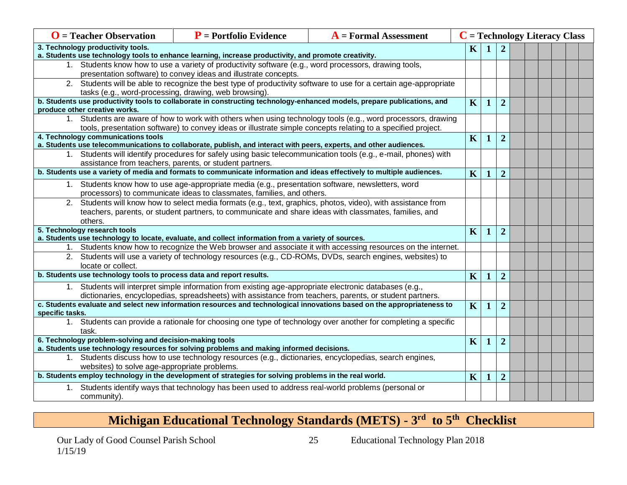| $\mathbf{O}$ = Teacher Observation                                                                                                                       | $P$ = Portfolio Evidence<br>$\bf{A}$ = Formal Assessment                                                               |                                                                                                                                                                                                                           |                         | $C = Technology$ Literacy Class |                |  |  |  |  |  |  |
|----------------------------------------------------------------------------------------------------------------------------------------------------------|------------------------------------------------------------------------------------------------------------------------|---------------------------------------------------------------------------------------------------------------------------------------------------------------------------------------------------------------------------|-------------------------|---------------------------------|----------------|--|--|--|--|--|--|
| 3. Technology productivity tools.<br>a. Students use technology tools to enhance learning, increase productivity, and promote creativity.                | $\mathbf K$                                                                                                            |                                                                                                                                                                                                                           | $\overline{2}$          |                                 |                |  |  |  |  |  |  |
|                                                                                                                                                          | 1. Students know how to use a variety of productivity software (e.g., word processors, drawing tools,                  |                                                                                                                                                                                                                           |                         |                                 |                |  |  |  |  |  |  |
| presentation software) to convey ideas and illustrate concepts.                                                                                          |                                                                                                                        |                                                                                                                                                                                                                           |                         |                                 |                |  |  |  |  |  |  |
|                                                                                                                                                          |                                                                                                                        | 2. Students will be able to recognize the best type of productivity software to use for a certain age-appropriate                                                                                                         |                         |                                 |                |  |  |  |  |  |  |
|                                                                                                                                                          | tasks (e.g., word-processing, drawing, web browsing).                                                                  |                                                                                                                                                                                                                           |                         |                                 |                |  |  |  |  |  |  |
| b. Students use productivity tools to collaborate in constructing technology-enhanced models, prepare publications, and<br>produce other creative works. | $\mathbf K$                                                                                                            | $\mathbf{1}$                                                                                                                                                                                                              | $\overline{2}$          |                                 |                |  |  |  |  |  |  |
|                                                                                                                                                          |                                                                                                                        | 1. Students are aware of how to work with others when using technology tools (e.g., word processors, drawing                                                                                                              |                         |                                 |                |  |  |  |  |  |  |
|                                                                                                                                                          | tools, presentation software) to convey ideas or illustrate simple concepts relating to a specified project.           |                                                                                                                                                                                                                           |                         |                                 |                |  |  |  |  |  |  |
| 4. Technology communications tools                                                                                                                       |                                                                                                                        |                                                                                                                                                                                                                           | $\mathbf K$             | $\mathbf 1$                     | $\overline{2}$ |  |  |  |  |  |  |
|                                                                                                                                                          | a. Students use telecommunications to collaborate, publish, and interact with peers, experts, and other audiences.     | 1. Students will identify procedures for safely using basic telecommunication tools (e.g., e-mail, phones) with                                                                                                           |                         |                                 |                |  |  |  |  |  |  |
|                                                                                                                                                          | assistance from teachers, parents, or student partners.                                                                |                                                                                                                                                                                                                           |                         |                                 |                |  |  |  |  |  |  |
|                                                                                                                                                          | b. Students use a variety of media and formats to communicate information and ideas effectively to multiple audiences. |                                                                                                                                                                                                                           | K                       | 1                               | $\overline{2}$ |  |  |  |  |  |  |
|                                                                                                                                                          | 1. Students know how to use age-appropriate media (e.g., presentation software, newsletters, word                      |                                                                                                                                                                                                                           |                         |                                 |                |  |  |  |  |  |  |
|                                                                                                                                                          | processors) to communicate ideas to classmates, families, and others.                                                  |                                                                                                                                                                                                                           |                         |                                 |                |  |  |  |  |  |  |
|                                                                                                                                                          |                                                                                                                        | 2. Students will know how to select media formats (e.g., text, graphics, photos, video), with assistance from                                                                                                             |                         |                                 |                |  |  |  |  |  |  |
|                                                                                                                                                          | teachers, parents, or student partners, to communicate and share ideas with classmates, families, and                  |                                                                                                                                                                                                                           |                         |                                 |                |  |  |  |  |  |  |
| others.                                                                                                                                                  |                                                                                                                        |                                                                                                                                                                                                                           |                         |                                 |                |  |  |  |  |  |  |
| 5. Technology research tools                                                                                                                             |                                                                                                                        |                                                                                                                                                                                                                           | K                       | $\mathbf 1$                     | $\overline{2}$ |  |  |  |  |  |  |
|                                                                                                                                                          | a. Students use technology to locate, evaluate, and collect information from a variety of sources.                     |                                                                                                                                                                                                                           |                         |                                 |                |  |  |  |  |  |  |
|                                                                                                                                                          |                                                                                                                        | 1. Students know how to recognize the Web browser and associate it with accessing resources on the internet.<br>2. Students will use a variety of technology resources (e.g., CD-ROMs, DVDs, search engines, websites) to |                         |                                 |                |  |  |  |  |  |  |
| locate or collect.                                                                                                                                       |                                                                                                                        |                                                                                                                                                                                                                           |                         |                                 |                |  |  |  |  |  |  |
| b. Students use technology tools to process data and report results.                                                                                     |                                                                                                                        |                                                                                                                                                                                                                           | $\overline{\mathbf{K}}$ |                                 | $\overline{2}$ |  |  |  |  |  |  |
|                                                                                                                                                          | 1. Students will interpret simple information from existing age-appropriate electronic databases (e.g.,                |                                                                                                                                                                                                                           |                         |                                 |                |  |  |  |  |  |  |
|                                                                                                                                                          | dictionaries, encyclopedias, spreadsheets) with assistance from teachers, parents, or student partners.                |                                                                                                                                                                                                                           |                         |                                 |                |  |  |  |  |  |  |
| specific tasks.                                                                                                                                          |                                                                                                                        | c. Students evaluate and select new information resources and technological innovations based on the appropriateness to                                                                                                   | $\mathbf{K}$            | -1                              | $\overline{2}$ |  |  |  |  |  |  |
|                                                                                                                                                          |                                                                                                                        | 1. Students can provide a rationale for choosing one type of technology over another for completing a specific                                                                                                            |                         |                                 |                |  |  |  |  |  |  |
| task.                                                                                                                                                    |                                                                                                                        |                                                                                                                                                                                                                           | $\mathbf K$             |                                 |                |  |  |  |  |  |  |
| 6. Technology problem-solving and decision-making tools                                                                                                  |                                                                                                                        |                                                                                                                                                                                                                           |                         |                                 |                |  |  |  |  |  |  |
| a. Students use technology resources for solving problems and making informed decisions.                                                                 |                                                                                                                        |                                                                                                                                                                                                                           |                         |                                 |                |  |  |  |  |  |  |
| 1. Students discuss how to use technology resources (e.g., dictionaries, encyclopedias, search engines,<br>websites) to solve age-appropriate problems.  |                                                                                                                        |                                                                                                                                                                                                                           |                         |                                 |                |  |  |  |  |  |  |
| b. Students employ technology in the development of strategies for solving problems in the real world.                                                   | $\overline{\mathbf{K}}$                                                                                                | $\mathbf 1$                                                                                                                                                                                                               | $\overline{2}$          |                                 |                |  |  |  |  |  |  |
| 1. Students identify ways that technology has been used to address real-world problems (personal or                                                      |                                                                                                                        |                                                                                                                                                                                                                           |                         |                                 |                |  |  |  |  |  |  |
| community).                                                                                                                                              |                                                                                                                        |                                                                                                                                                                                                                           |                         |                                 |                |  |  |  |  |  |  |

## **Michigan Educational Technology Standards (METS) - 3 rd to 5th Checklist**

25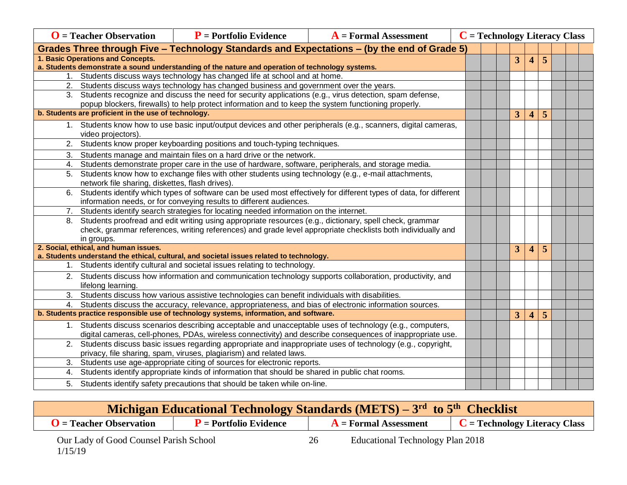|    | $\mathbf{O}$ = Teacher Observation                                                                                                                          | $P$ = Portfolio Evidence                                                                                                                                                             | $A =$ Formal Assessment                                                                                           | $C = Technology$ Literacy Class |  |  |                |                         |   |  |  |
|----|-------------------------------------------------------------------------------------------------------------------------------------------------------------|--------------------------------------------------------------------------------------------------------------------------------------------------------------------------------------|-------------------------------------------------------------------------------------------------------------------|---------------------------------|--|--|----------------|-------------------------|---|--|--|
|    | Grades Three through Five - Technology Standards and Expectations - (by the end of Grade 5)                                                                 |                                                                                                                                                                                      |                                                                                                                   |                                 |  |  |                |                         |   |  |  |
|    | 1. Basic Operations and Concepts.                                                                                                                           |                                                                                                                                                                                      |                                                                                                                   |                                 |  |  | 3              | $\boldsymbol{\Delta}$   | 5 |  |  |
|    |                                                                                                                                                             | a. Students demonstrate a sound understanding of the nature and operation of technology systems.                                                                                     |                                                                                                                   |                                 |  |  |                |                         |   |  |  |
|    |                                                                                                                                                             | 1. Students discuss ways technology has changed life at school and at home.                                                                                                          |                                                                                                                   |                                 |  |  |                |                         |   |  |  |
|    |                                                                                                                                                             | 2. Students discuss ways technology has changed business and government over the years.                                                                                              |                                                                                                                   |                                 |  |  |                |                         |   |  |  |
|    |                                                                                                                                                             | 3. Students recognize and discuss the need for security applications (e.g., virus detection, spam defense,                                                                           |                                                                                                                   |                                 |  |  |                |                         |   |  |  |
|    | popup blockers, firewalls) to help protect information and to keep the system functioning properly.<br>b. Students are proficient in the use of technology. |                                                                                                                                                                                      |                                                                                                                   |                                 |  |  |                |                         |   |  |  |
|    |                                                                                                                                                             |                                                                                                                                                                                      |                                                                                                                   |                                 |  |  | $\overline{3}$ | $\overline{\mathbf{4}}$ | 5 |  |  |
|    | video projectors).                                                                                                                                          |                                                                                                                                                                                      | 1. Students know how to use basic input/output devices and other peripherals (e.g., scanners, digital cameras,    |                                 |  |  |                |                         |   |  |  |
|    |                                                                                                                                                             | 2. Students know proper keyboarding positions and touch-typing techniques.                                                                                                           |                                                                                                                   |                                 |  |  |                |                         |   |  |  |
| 3. |                                                                                                                                                             | Students manage and maintain files on a hard drive or the network.                                                                                                                   |                                                                                                                   |                                 |  |  |                |                         |   |  |  |
| 4. |                                                                                                                                                             | Students demonstrate proper care in the use of hardware, software, peripherals, and storage media.                                                                                   |                                                                                                                   |                                 |  |  |                |                         |   |  |  |
| 5. |                                                                                                                                                             | Students know how to exchange files with other students using technology (e.g., e-mail attachments,                                                                                  |                                                                                                                   |                                 |  |  |                |                         |   |  |  |
|    | network file sharing, diskettes, flash drives).                                                                                                             |                                                                                                                                                                                      |                                                                                                                   |                                 |  |  |                |                         |   |  |  |
| 6. |                                                                                                                                                             |                                                                                                                                                                                      | Students identify which types of software can be used most effectively for different types of data, for different |                                 |  |  |                |                         |   |  |  |
|    |                                                                                                                                                             | information needs, or for conveying results to different audiences.                                                                                                                  |                                                                                                                   |                                 |  |  |                |                         |   |  |  |
| 7. |                                                                                                                                                             | Students identify search strategies for locating needed information on the internet.                                                                                                 |                                                                                                                   |                                 |  |  |                |                         |   |  |  |
| 8. |                                                                                                                                                             | Students proofread and edit writing using appropriate resources (e.g., dictionary, spell check, grammar                                                                              |                                                                                                                   |                                 |  |  |                |                         |   |  |  |
|    |                                                                                                                                                             |                                                                                                                                                                                      | check, grammar references, writing references) and grade level appropriate checklists both individually and       |                                 |  |  |                |                         |   |  |  |
|    | in groups.                                                                                                                                                  |                                                                                                                                                                                      |                                                                                                                   |                                 |  |  |                |                         |   |  |  |
|    | 2. Social, ethical, and human issues.                                                                                                                       | a. Students understand the ethical, cultural, and societal issues related to technology.                                                                                             |                                                                                                                   |                                 |  |  | 3              | $\overline{\mathbf{4}}$ | 5 |  |  |
|    |                                                                                                                                                             | 1. Students identify cultural and societal issues relating to technology.                                                                                                            |                                                                                                                   |                                 |  |  |                |                         |   |  |  |
|    |                                                                                                                                                             |                                                                                                                                                                                      | 2. Students discuss how information and communication technology supports collaboration, productivity, and        |                                 |  |  |                |                         |   |  |  |
|    | lifelong learning.                                                                                                                                          |                                                                                                                                                                                      |                                                                                                                   |                                 |  |  |                |                         |   |  |  |
|    |                                                                                                                                                             | 3. Students discuss how various assistive technologies can benefit individuals with disabilities.                                                                                    |                                                                                                                   |                                 |  |  |                |                         |   |  |  |
|    |                                                                                                                                                             | 4. Students discuss the accuracy, relevance, appropriateness, and bias of electronic information sources.                                                                            |                                                                                                                   |                                 |  |  |                |                         |   |  |  |
|    |                                                                                                                                                             | b. Students practice responsible use of technology systems, information, and software.                                                                                               |                                                                                                                   |                                 |  |  | 3              | 4                       | 5 |  |  |
|    |                                                                                                                                                             |                                                                                                                                                                                      | 1. Students discuss scenarios describing acceptable and unacceptable uses of technology (e.g., computers,         |                                 |  |  |                |                         |   |  |  |
|    |                                                                                                                                                             |                                                                                                                                                                                      | digital cameras, cell-phones, PDAs, wireless connectivity) and describe consequences of inappropriate use.        |                                 |  |  |                |                         |   |  |  |
|    |                                                                                                                                                             | 2. Students discuss basic issues regarding appropriate and inappropriate uses of technology (e.g., copyright,<br>privacy, file sharing, spam, viruses, plagiarism) and related laws. |                                                                                                                   |                                 |  |  |                |                         |   |  |  |
| 3. | Students use age-appropriate citing of sources for electronic reports.                                                                                      |                                                                                                                                                                                      |                                                                                                                   |                                 |  |  |                |                         |   |  |  |
|    | 4. Students identify appropriate kinds of information that should be shared in public chat rooms.                                                           |                                                                                                                                                                                      |                                                                                                                   |                                 |  |  |                |                         |   |  |  |
|    |                                                                                                                                                             | 5. Students identify safety precautions that should be taken while on-line.                                                                                                          |                                                                                                                   |                                 |  |  |                |                         |   |  |  |
|    |                                                                                                                                                             |                                                                                                                                                                                      |                                                                                                                   |                                 |  |  |                |                         |   |  |  |

| Michigan Educational Technology Standards (METS) – 3rd to 5 <sup>th</sup> Checklist |                          |    |                                  |                                 |  |  |  |  |  |  |  |
|-------------------------------------------------------------------------------------|--------------------------|----|----------------------------------|---------------------------------|--|--|--|--|--|--|--|
| $\mathbf{O}$ = Teacher Observation                                                  | $P$ = Portfolio Evidence |    | $A = Formal Assessment$          | $C = Technology$ Literacy Class |  |  |  |  |  |  |  |
| Our Lady of Good Counsel Parish School<br>1/15/19                                   |                          | 26 | Educational Technology Plan 2018 |                                 |  |  |  |  |  |  |  |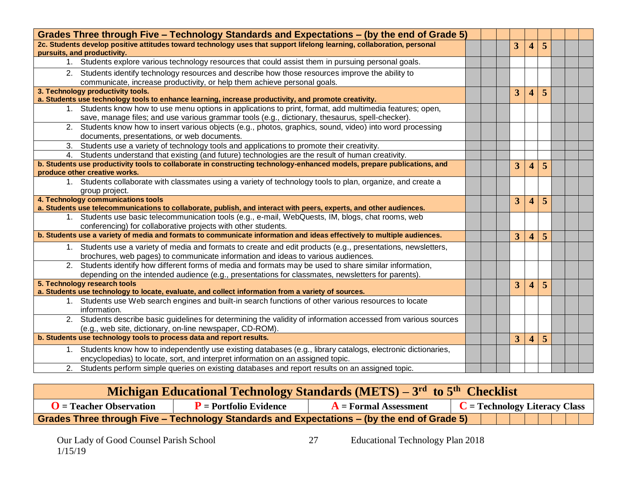| Grades Three through Five - Technology Standards and Expectations - (by the end of Grade 5)                                                                                                                  |  |                         |                         |   |  |
|--------------------------------------------------------------------------------------------------------------------------------------------------------------------------------------------------------------|--|-------------------------|-------------------------|---|--|
| 2c. Students develop positive attitudes toward technology uses that support lifelong learning, collaboration, personal<br>pursuits, and productivity.                                                        |  | 3                       | $\overline{\mathbf{4}}$ | 5 |  |
| 1. Students explore various technology resources that could assist them in pursuing personal goals.                                                                                                          |  |                         |                         |   |  |
| 2. Students identify technology resources and describe how those resources improve the ability to<br>communicate, increase productivity, or help them achieve personal goals.                                |  |                         |                         |   |  |
| 3. Technology productivity tools.                                                                                                                                                                            |  | 3                       | $\overline{\mathbf{4}}$ | 5 |  |
| a. Students use technology tools to enhance learning, increase productivity, and promote creativity.                                                                                                         |  |                         |                         |   |  |
| 1. Students know how to use menu options in applications to print, format, add multimedia features; open,<br>save, manage files; and use various grammar tools (e.g., dictionary, thesaurus, spell-checker). |  |                         |                         |   |  |
| 2. Students know how to insert various objects (e.g., photos, graphics, sound, video) into word processing<br>documents, presentations, or web documents.                                                    |  |                         |                         |   |  |
| 3. Students use a variety of technology tools and applications to promote their creativity.                                                                                                                  |  |                         |                         |   |  |
| 4. Students understand that existing (and future) technologies are the result of human creativity.                                                                                                           |  |                         |                         |   |  |
| b. Students use productivity tools to collaborate in constructing technology-enhanced models, prepare publications, and                                                                                      |  | 3 <sup>1</sup>          | $\overline{\mathbf{4}}$ | 5 |  |
| produce other creative works.                                                                                                                                                                                |  |                         |                         |   |  |
| 1. Students collaborate with classmates using a variety of technology tools to plan, organize, and create a<br>group project.                                                                                |  |                         |                         |   |  |
| 4. Technology communications tools                                                                                                                                                                           |  | $\overline{3}$          | $\overline{\mathbf{4}}$ | 5 |  |
| a. Students use telecommunications to collaborate, publish, and interact with peers, experts, and other audiences.                                                                                           |  |                         |                         |   |  |
| 1. Students use basic telecommunication tools (e.g., e-mail, WebQuests, IM, blogs, chat rooms, web<br>conferencing) for collaborative projects with other students.                                          |  |                         |                         |   |  |
| b. Students use a variety of media and formats to communicate information and ideas effectively to multiple audiences.                                                                                       |  | 3                       | 4                       | 5 |  |
| 1. Students use a variety of media and formats to create and edit products (e.g., presentations, newsletters,<br>brochures, web pages) to communicate information and ideas to various audiences.            |  |                         |                         |   |  |
| 2. Students identify how different forms of media and formats may be used to share similar information,<br>depending on the intended audience (e.g., presentations for classmates, newsletters for parents). |  |                         |                         |   |  |
| 5. Technology research tools                                                                                                                                                                                 |  | $\overline{3}$          | $\overline{\mathbf{4}}$ | 5 |  |
| a. Students use technology to locate, evaluate, and collect information from a variety of sources.                                                                                                           |  |                         |                         |   |  |
| 1. Students use Web search engines and built-in search functions of other various resources to locate<br>information.                                                                                        |  |                         |                         |   |  |
| 2. Students describe basic guidelines for determining the validity of information accessed from various sources<br>(e.g., web site, dictionary, on-line newspaper, CD-ROM).                                  |  |                         |                         |   |  |
| b. Students use technology tools to process data and report results.                                                                                                                                         |  | $\overline{\mathbf{3}}$ | 4                       | 5 |  |
| 1. Students know how to independently use existing databases (e.g., library catalogs, electronic dictionaries,                                                                                               |  |                         |                         |   |  |
| encyclopedias) to locate, sort, and interpret information on an assigned topic.                                                                                                                              |  |                         |                         |   |  |
| 2. Students perform simple queries on existing databases and report results on an assigned topic.                                                                                                            |  |                         |                         |   |  |

|                                | Michigan Educational Technology Standards (METS) – 3 <sup>rd</sup> to 5 <sup>th</sup> Checklist |                                                                                             |                                          |  |  |  |  |  |  |  |  |  |
|--------------------------------|-------------------------------------------------------------------------------------------------|---------------------------------------------------------------------------------------------|------------------------------------------|--|--|--|--|--|--|--|--|--|
| <b>T</b> = Teacher Observation | $P$ = Portfolio Evidence                                                                        | $A =$ Formal Assessment                                                                     | $\mathbf{C}$ = Technology Literacy Class |  |  |  |  |  |  |  |  |  |
|                                |                                                                                                 | Grades Three through Five – Technology Standards and Expectations – (by the end of Grade 5) |                                          |  |  |  |  |  |  |  |  |  |

27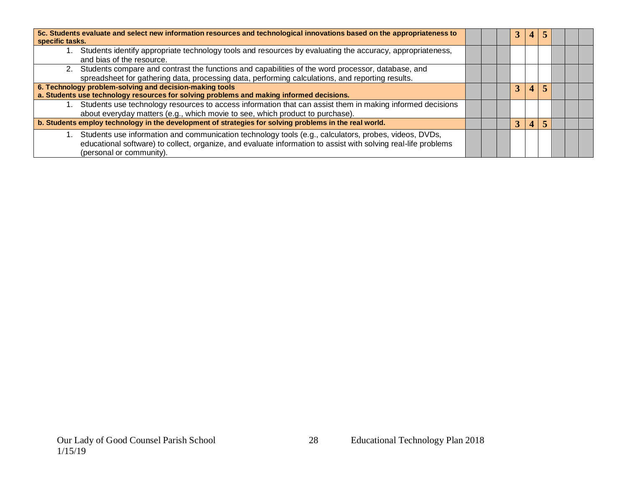| 5c. Students evaluate and select new information resources and technological innovations based on the appropriateness to<br>specific tasks.                                                                                                         |  |  |  |  |  |  |
|-----------------------------------------------------------------------------------------------------------------------------------------------------------------------------------------------------------------------------------------------------|--|--|--|--|--|--|
| Students identify appropriate technology tools and resources by evaluating the accuracy, appropriateness,<br>and bias of the resource.                                                                                                              |  |  |  |  |  |  |
| 2. Students compare and contrast the functions and capabilities of the word processor, database, and<br>spreadsheet for gathering data, processing data, performing calculations, and reporting results.                                            |  |  |  |  |  |  |
| 6. Technology problem-solving and decision-making tools<br>a. Students use technology resources for solving problems and making informed decisions.                                                                                                 |  |  |  |  |  |  |
| Students use technology resources to access information that can assist them in making informed decisions<br>about everyday matters (e.g., which movie to see, which product to purchase).                                                          |  |  |  |  |  |  |
| b. Students employ technology in the development of strategies for solving problems in the real world.                                                                                                                                              |  |  |  |  |  |  |
| Students use information and communication technology tools (e.g., calculators, probes, videos, DVDs,<br>educational software) to collect, organize, and evaluate information to assist with solving real-life problems<br>(personal or community). |  |  |  |  |  |  |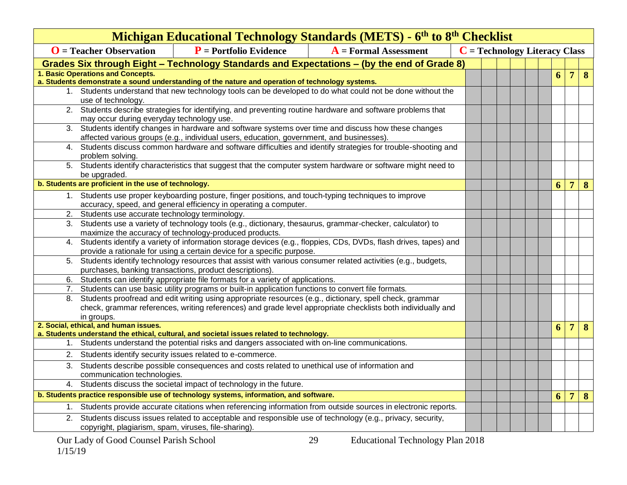|    | Michigan Educational Technology Standards (METS) - 6 <sup>th</sup> to 8 <sup>th</sup> Checklist<br>$C = Technology$ Literacy Class                                        |                                                                                                             |                                                                                                                |  |  |  |  |  |   |                 |                 |          |
|----|---------------------------------------------------------------------------------------------------------------------------------------------------------------------------|-------------------------------------------------------------------------------------------------------------|----------------------------------------------------------------------------------------------------------------|--|--|--|--|--|---|-----------------|-----------------|----------|
|    | $\mathbf{O}$ = Teacher Observation                                                                                                                                        | $P$ = Portfolio Evidence                                                                                    | $A = Formal Assessment$                                                                                        |  |  |  |  |  |   |                 |                 |          |
|    | Grades Six through Eight - Technology Standards and Expectations - (by the end of Grade 8)                                                                                |                                                                                                             |                                                                                                                |  |  |  |  |  |   |                 |                 |          |
|    | 1. Basic Operations and Concepts.                                                                                                                                         |                                                                                                             |                                                                                                                |  |  |  |  |  | 6 | $7\overline{ }$ | $\bf{8}$        |          |
|    | a. Students demonstrate a sound understanding of the nature and operation of technology systems.                                                                          |                                                                                                             |                                                                                                                |  |  |  |  |  |   |                 |                 |          |
|    | use of technology.                                                                                                                                                        |                                                                                                             | 1. Students understand that new technology tools can be developed to do what could not be done without the     |  |  |  |  |  |   |                 |                 |          |
|    | may occur during everyday technology use.                                                                                                                                 |                                                                                                             | 2. Students describe strategies for identifying, and preventing routine hardware and software problems that    |  |  |  |  |  |   |                 |                 |          |
| 3. |                                                                                                                                                                           | affected various groups (e.g., individual users, education, government, and businesses).                    | Students identify changes in hardware and software systems over time and discuss how these changes             |  |  |  |  |  |   |                 |                 |          |
|    | problem solving.                                                                                                                                                          |                                                                                                             | 4. Students discuss common hardware and software difficulties and identify strategies for trouble-shooting and |  |  |  |  |  |   |                 |                 |          |
|    | be upgraded.                                                                                                                                                              |                                                                                                             | 5. Students identify characteristics that suggest that the computer system hardware or software might need to  |  |  |  |  |  |   |                 |                 |          |
|    | b. Students are proficient in the use of technology.                                                                                                                      |                                                                                                             |                                                                                                                |  |  |  |  |  |   | 6               | $7\overline{ }$ | $\bf{8}$ |
|    |                                                                                                                                                                           | 1. Students use proper keyboarding posture, finger positions, and touch-typing techniques to improve        |                                                                                                                |  |  |  |  |  |   |                 |                 |          |
|    |                                                                                                                                                                           | accuracy, speed, and general efficiency in operating a computer.                                            |                                                                                                                |  |  |  |  |  |   |                 |                 |          |
| 2. | Students use accurate technology terminology.                                                                                                                             |                                                                                                             |                                                                                                                |  |  |  |  |  |   |                 |                 |          |
|    |                                                                                                                                                                           | 3. Students use a variety of technology tools (e.g., dictionary, thesaurus, grammar-checker, calculator) to |                                                                                                                |  |  |  |  |  |   |                 |                 |          |
| 4. | maximize the accuracy of technology-produced products.<br>Students identify a variety of information storage devices (e.g., floppies, CDs, DVDs, flash drives, tapes) and |                                                                                                             |                                                                                                                |  |  |  |  |  |   |                 |                 |          |
|    |                                                                                                                                                                           | provide a rationale for using a certain device for a specific purpose.                                      |                                                                                                                |  |  |  |  |  |   |                 |                 |          |
|    |                                                                                                                                                                           | purchases, banking transactions, product descriptions).                                                     | 5. Students identify technology resources that assist with various consumer related activities (e.g., budgets, |  |  |  |  |  |   |                 |                 |          |
| 6. |                                                                                                                                                                           | Students can identify appropriate file formats for a variety of applications.                               |                                                                                                                |  |  |  |  |  |   |                 |                 |          |
|    |                                                                                                                                                                           | 7. Students can use basic utility programs or built-in application functions to convert file formats.       |                                                                                                                |  |  |  |  |  |   |                 |                 |          |
|    | in groups.                                                                                                                                                                | 8. Students proofread and edit writing using appropriate resources (e.g., dictionary, spell check, grammar  | check, grammar references, writing references) and grade level appropriate checklists both individually and    |  |  |  |  |  |   |                 |                 |          |
|    | 2. Social, ethical, and human issues.                                                                                                                                     | a. Students understand the ethical, cultural, and societal issues related to technology.                    |                                                                                                                |  |  |  |  |  |   | 6               | $7\overline{ }$ | $\bf{8}$ |
|    |                                                                                                                                                                           | 1. Students understand the potential risks and dangers associated with on-line communications.              |                                                                                                                |  |  |  |  |  |   |                 |                 |          |
| 2. |                                                                                                                                                                           | Students identify security issues related to e-commerce.                                                    |                                                                                                                |  |  |  |  |  |   |                 |                 |          |
|    | communication technologies.                                                                                                                                               | 3. Students describe possible consequences and costs related to unethical use of information and            |                                                                                                                |  |  |  |  |  |   |                 |                 |          |
|    |                                                                                                                                                                           | 4. Students discuss the societal impact of technology in the future.                                        |                                                                                                                |  |  |  |  |  |   |                 |                 |          |
|    | b. Students practice responsible use of technology systems, information, and software.                                                                                    |                                                                                                             |                                                                                                                |  |  |  |  |  |   | 6               | $\overline{7}$  | $\bf{8}$ |
|    | 1. Students provide accurate citations when referencing information from outside sources in electronic reports.                                                           |                                                                                                             |                                                                                                                |  |  |  |  |  |   |                 |                 |          |
|    | copyright, plagiarism, spam, viruses, file-sharing).                                                                                                                      |                                                                                                             | 2. Students discuss issues related to acceptable and responsible use of technology (e.g., privacy, security,   |  |  |  |  |  |   |                 |                 |          |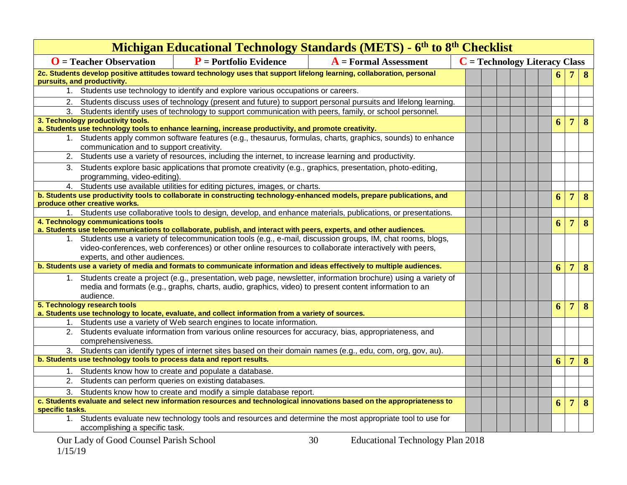| Michigan Educational Technology Standards (METS) - 6 <sup>th</sup> to 8 <sup>th</sup> Checklist                                                                                                                                                          |                                                                                                              |                                                                                                            |  |                                 |  |  |   |                |                |                  |  |  |
|----------------------------------------------------------------------------------------------------------------------------------------------------------------------------------------------------------------------------------------------------------|--------------------------------------------------------------------------------------------------------------|------------------------------------------------------------------------------------------------------------|--|---------------------------------|--|--|---|----------------|----------------|------------------|--|--|
| $\mathbf{O}$ = Teacher Observation                                                                                                                                                                                                                       | $P$ = Portfolio Evidence<br>$A =$ Formal Assessment                                                          |                                                                                                            |  | $C = Technology$ Literacy Class |  |  |   |                |                |                  |  |  |
| 2c. Students develop positive attitudes toward technology uses that support lifelong learning, collaboration, personal                                                                                                                                   |                                                                                                              |                                                                                                            |  |                                 |  |  |   | 6              |                | 7 8              |  |  |
| pursuits, and productivity.<br>1. Students use technology to identify and explore various occupations or careers.                                                                                                                                        |                                                                                                              |                                                                                                            |  |                                 |  |  |   |                |                |                  |  |  |
|                                                                                                                                                                                                                                                          |                                                                                                              |                                                                                                            |  |                                 |  |  |   |                |                |                  |  |  |
| 2. Students discuss uses of technology (present and future) to support personal pursuits and lifelong learning.                                                                                                                                          |                                                                                                              |                                                                                                            |  |                                 |  |  |   |                |                |                  |  |  |
| 3. Students identify uses of technology to support communication with peers, family, or school personnel.<br>3. Technology productivity tools.                                                                                                           |                                                                                                              |                                                                                                            |  |                                 |  |  |   | 6              | 7 <sup>1</sup> | $\bf{8}$         |  |  |
| a. Students use technology tools to enhance learning, increase productivity, and promote creativity.                                                                                                                                                     |                                                                                                              |                                                                                                            |  |                                 |  |  |   |                |                |                  |  |  |
| 1. Students apply common software features (e.g., thesaurus, formulas, charts, graphics, sounds) to enhance<br>communication and to support creativity.                                                                                                  |                                                                                                              |                                                                                                            |  |                                 |  |  |   |                |                |                  |  |  |
| 2. Students use a variety of resources, including the internet, to increase learning and productivity.                                                                                                                                                   |                                                                                                              |                                                                                                            |  |                                 |  |  |   |                |                |                  |  |  |
| 3. Students explore basic applications that promote creativity (e.g., graphics, presentation, photo-editing,<br>programming, video-editing).                                                                                                             |                                                                                                              |                                                                                                            |  |                                 |  |  |   |                |                |                  |  |  |
|                                                                                                                                                                                                                                                          | 4. Students use available utilities for editing pictures, images, or charts.                                 |                                                                                                            |  |                                 |  |  |   |                |                |                  |  |  |
| b. Students use productivity tools to collaborate in constructing technology-enhanced models, prepare publications, and                                                                                                                                  |                                                                                                              |                                                                                                            |  |                                 |  |  |   | 6              |                | 7 8              |  |  |
| produce other creative works.                                                                                                                                                                                                                            |                                                                                                              |                                                                                                            |  |                                 |  |  |   |                |                |                  |  |  |
| 1. Students use collaborative tools to design, develop, and enhance materials, publications, or presentations.                                                                                                                                           |                                                                                                              |                                                                                                            |  |                                 |  |  |   |                |                |                  |  |  |
| 4. Technology communications tools<br>a. Students use telecommunications to collaborate, publish, and interact with peers, experts, and other audiences.                                                                                                 |                                                                                                              |                                                                                                            |  |                                 |  |  |   | 6              | 7 <sup>7</sup> | $\bf{8}$         |  |  |
|                                                                                                                                                                                                                                                          |                                                                                                              |                                                                                                            |  |                                 |  |  |   |                |                |                  |  |  |
| 1. Students use a variety of telecommunication tools (e.g., e-mail, discussion groups, IM, chat rooms, blogs,<br>video-conferences, web conferences) or other online resources to collaborate interactively with peers,<br>experts, and other audiences. |                                                                                                              |                                                                                                            |  |                                 |  |  |   |                |                |                  |  |  |
| b. Students use a variety of media and formats to communicate information and ideas effectively to multiple audiences.                                                                                                                                   |                                                                                                              |                                                                                                            |  |                                 |  |  |   | 6              | 7 <sup>1</sup> | $\boldsymbol{8}$ |  |  |
| 1. Students create a project (e.g., presentation, web page, newsletter, information brochure) using a variety of<br>media and formats (e.g., graphs, charts, audio, graphics, video) to present content information to an<br>audience.                   |                                                                                                              |                                                                                                            |  |                                 |  |  |   |                |                |                  |  |  |
| 5. Technology research tools                                                                                                                                                                                                                             |                                                                                                              |                                                                                                            |  |                                 |  |  |   | 6              | 7 <sup>1</sup> | 8                |  |  |
| a. Students use technology to locate, evaluate, and collect information from a variety of sources.                                                                                                                                                       |                                                                                                              |                                                                                                            |  |                                 |  |  |   |                |                |                  |  |  |
| 1. Students use a variety of Web search engines to locate information.<br>2. Students evaluate information from various online resources for accuracy, bias, appropriateness, and                                                                        |                                                                                                              |                                                                                                            |  |                                 |  |  |   |                |                |                  |  |  |
| comprehensiveness.                                                                                                                                                                                                                                       |                                                                                                              |                                                                                                            |  |                                 |  |  |   |                |                |                  |  |  |
|                                                                                                                                                                                                                                                          | 3. Students can identify types of internet sites based on their domain names (e.g., edu, com, org, gov, au). |                                                                                                            |  |                                 |  |  |   |                |                |                  |  |  |
| b. Students use technology tools to process data and report results.                                                                                                                                                                                     |                                                                                                              |                                                                                                            |  |                                 |  |  | 6 | $\overline{7}$ | 8              |                  |  |  |
| 1.                                                                                                                                                                                                                                                       | Students know how to create and populate a database.                                                         |                                                                                                            |  |                                 |  |  |   |                |                |                  |  |  |
| Students can perform queries on existing databases.<br>2.                                                                                                                                                                                                |                                                                                                              |                                                                                                            |  |                                 |  |  |   |                |                |                  |  |  |
| 3.                                                                                                                                                                                                                                                       | Students know how to create and modify a simple database report.                                             |                                                                                                            |  |                                 |  |  |   |                |                |                  |  |  |
| c. Students evaluate and select new information resources and technological innovations based on the appropriateness to                                                                                                                                  |                                                                                                              |                                                                                                            |  |                                 |  |  | 6 | 7 <sup>1</sup> | $\bf{8}$       |                  |  |  |
| specific tasks.                                                                                                                                                                                                                                          |                                                                                                              |                                                                                                            |  |                                 |  |  |   |                |                |                  |  |  |
| accomplishing a specific task.                                                                                                                                                                                                                           |                                                                                                              | 1. Students evaluate new technology tools and resources and determine the most appropriate tool to use for |  |                                 |  |  |   |                |                |                  |  |  |
| $\sim$ $\sim$ $\sim$ $\sim$ $\sim$                                                                                                                                                                                                                       |                                                                                                              |                                                                                                            |  |                                 |  |  |   |                |                |                  |  |  |